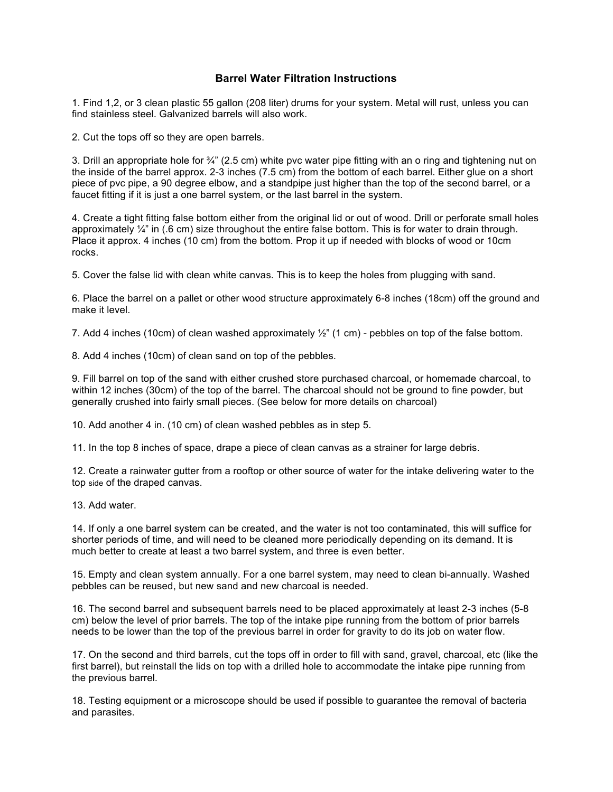## **Barrel Water Filtration Instructions**

1. Find 1,2, or 3 clean plastic 55 gallon (208 liter) drums for your system. Metal will rust, unless you can find stainless steel. Galvanized barrels will also work.

2. Cut the tops off so they are open barrels.

3. Drill an appropriate hole for ¾" (2.5 cm) white pvc water pipe fitting with an o ring and tightening nut on the inside of the barrel approx. 2-3 inches (7.5 cm) from the bottom of each barrel. Either glue on a short piece of pvc pipe, a 90 degree elbow, and a standpipe just higher than the top of the second barrel, or a faucet fitting if it is just a one barrel system, or the last barrel in the system.

4. Create a tight fitting false bottom either from the original lid or out of wood. Drill or perforate small holes approximately  $\frac{1}{4}$ " in (.6 cm) size throughout the entire false bottom. This is for water to drain through. Place it approx. 4 inches (10 cm) from the bottom. Prop it up if needed with blocks of wood or 10cm rocks.

5. Cover the false lid with clean white canvas. This is to keep the holes from plugging with sand.

6. Place the barrel on a pallet or other wood structure approximately 6-8 inches (18cm) off the ground and make it level.

7. Add 4 inches (10cm) of clean washed approximately ½" (1 cm) - pebbles on top of the false bottom.

8. Add 4 inches (10cm) of clean sand on top of the pebbles.

9. Fill barrel on top of the sand with either crushed store purchased charcoal, or homemade charcoal, to within 12 inches (30cm) of the top of the barrel. The charcoal should not be ground to fine powder, but generally crushed into fairly small pieces. (See below for more details on charcoal)

10. Add another 4 in. (10 cm) of clean washed pebbles as in step 5.

11. In the top 8 inches of space, drape a piece of clean canvas as a strainer for large debris.

12. Create a rainwater gutter from a rooftop or other source of water for the intake delivering water to the top side of the draped canvas.

13. Add water.

14. If only a one barrel system can be created, and the water is not too contaminated, this will suffice for shorter periods of time, and will need to be cleaned more periodically depending on its demand. It is much better to create at least a two barrel system, and three is even better.

15. Empty and clean system annually. For a one barrel system, may need to clean bi-annually. Washed pebbles can be reused, but new sand and new charcoal is needed.

16. The second barrel and subsequent barrels need to be placed approximately at least 2-3 inches (5-8 cm) below the level of prior barrels. The top of the intake pipe running from the bottom of prior barrels needs to be lower than the top of the previous barrel in order for gravity to do its job on water flow.

17. On the second and third barrels, cut the tops off in order to fill with sand, gravel, charcoal, etc (like the first barrel), but reinstall the lids on top with a drilled hole to accommodate the intake pipe running from the previous barrel.

18. Testing equipment or a microscope should be used if possible to guarantee the removal of bacteria and parasites.